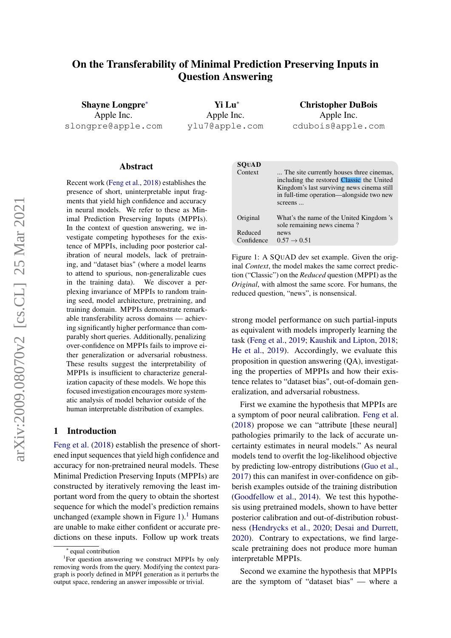## On the Transferability of Minimal Prediction Preserving Inputs in Question Answering

Shayne Longpre<sup>∗</sup> Apple Inc. slongpre@apple.com

Yi Lu<sup>∗</sup> Apple Inc. ylu7@apple.com

<span id="page-0-0"></span> $SO<sub>1</sub>$ 

Christopher DuBois Apple Inc. cdubois@apple.com

#### Abstract

Recent work [\(Feng et al.,](#page-5-0) [2018\)](#page-5-0) establishes the presence of short, uninterpretable input fragments that yield high confidence and accuracy in neural models. We refer to these as Minimal Prediction Preserving Inputs (MPPIs). In the context of question answering, we investigate competing hypotheses for the existence of MPPIs, including poor posterior calibration of neural models, lack of pretraining, and "dataset bias" (where a model learns to attend to spurious, non-generalizable cues in the training data). We discover a perplexing invariance of MPPIs to random training seed, model architecture, pretraining, and training domain. MPPIs demonstrate remarkable transferability across domains — achieving significantly higher performance than comparably short queries. Additionally, penalizing over-confidence on MPPIs fails to improve either generalization or adversarial robustness. These results suggest the interpretability of MPPIs is insufficient to characterize generalization capacity of these models. We hope this focused investigation encourages more systematic analysis of model behavior outside of the human interpretable distribution of examples.

#### 1 Introduction

[Feng et al.](#page-5-0) [\(2018\)](#page-5-0) establish the presence of shortened input sequences that yield high confidence and accuracy for non-pretrained neural models. These Minimal Prediction Preserving Inputs (MPPIs) are constructed by iteratively removing the least important word from the query to obtain the shortest sequence for which the model's prediction remains unchanged (example shown in Figure [1\)](#page-0-0).<sup>[1](#page-0-1)</sup> Humans are unable to make either confident or accurate predictions on these inputs. Follow up work treats

| SQUAD<br>Context                  | The site currently houses three cinemas,<br>including the restored Classic the United<br>Kingdom's last surviving news cinema still<br>in full-time operation-alongside two new<br>screens |
|-----------------------------------|--------------------------------------------------------------------------------------------------------------------------------------------------------------------------------------------|
| Original<br>Reduced<br>Confidence | What's the name of the United Kingdom 's<br>sole remaining news cinema?<br>news<br>$0.57 \rightarrow 0.51$                                                                                 |
|                                   |                                                                                                                                                                                            |

Figure 1: A SQUAD dev set example. Given the original *Context*, the model makes the same correct prediction ("Classic") on the *Reduced* question (MPPI) as the *Original*, with almost the same score. For humans, the reduced question, "news", is nonsensical.

strong model performance on such partial-inputs as equivalent with models improperly learning the task [\(Feng et al.,](#page-5-1) [2019;](#page-5-1) [Kaushik and Lipton,](#page-5-2) [2018;](#page-5-2) [He et al.,](#page-5-3) [2019\)](#page-5-3). Accordingly, we evaluate this proposition in question answering (QA), investigating the properties of MPPIs and how their existence relates to "dataset bias", out-of-domain generalization, and adversarial robustness.

First we examine the hypothesis that MPPIs are a symptom of poor neural calibration. [Feng et al.](#page-5-0) [\(2018\)](#page-5-0) propose we can "attribute [these neural] pathologies primarily to the lack of accurate uncertainty estimates in neural models." As neural models tend to overfit the log-likelihood objective by predicting low-entropy distributions [\(Guo et al.,](#page-5-4) [2017\)](#page-5-4) this can manifest in over-confidence on gibberish examples outside of the training distribution [\(Goodfellow et al.,](#page-5-5) [2014\)](#page-5-5). We test this hypothesis using pretrained models, shown to have better posterior calibration and out-of-distribution robustness [\(Hendrycks et al.,](#page-5-6) [2020;](#page-5-6) [Desai and Durrett,](#page-5-7) [2020\)](#page-5-7). Contrary to expectations, we find largescale pretraining does not produce more human interpretable MPPIs.

Second we examine the hypothesis that MPPIs are the symptom of "dataset bias" — where a

<span id="page-0-1"></span><sup>∗</sup> equal contribution

<sup>&</sup>lt;sup>1</sup>For question answering we construct MPPIs by only removing words from the query. Modifying the context paragraph is poorly defined in MPPI generation as it perturbs the output space, rendering an answer impossible or trivial.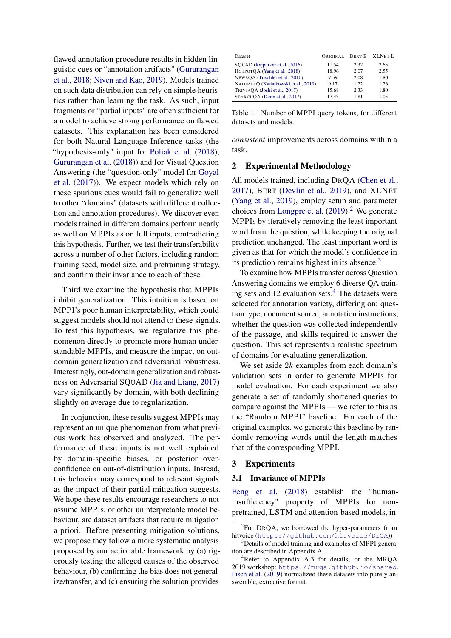flawed annotation procedure results in hidden linguistic cues or "annotation artifacts" [\(Gururangan](#page-5-8) [et al.,](#page-5-8) [2018;](#page-5-8) [Niven and Kao,](#page-6-0) [2019\)](#page-6-0). Models trained on such data distribution can rely on simple heuristics rather than learning the task. As such, input fragments or "partial inputs" are often sufficient for a model to achieve strong performance on flawed datasets. This explanation has been considered for both Natural Language Inference tasks (the "hypothesis-only" input for [Poliak et al.](#page-6-1) [\(2018\)](#page-6-1); [Gururangan et al.](#page-5-8) [\(2018\)](#page-5-8)) and for Visual Question Answering (the "question-only" model for [Goyal](#page-5-9) [et al.](#page-5-9) [\(2017\)](#page-5-9)). We expect models which rely on these spurious cues would fail to generalize well to other "domains" (datasets with different collection and annotation procedures). We discover even models trained in different domains perform nearly as well on MPPIs as on full inputs, contradicting this hypothesis. Further, we test their transferability across a number of other factors, including random training seed, model size, and pretraining strategy, and confirm their invariance to each of these.

Third we examine the hypothesis that MPPIs inhibit generalization. This intuition is based on MPPI's poor human interpretability, which could suggest models should not attend to these signals. To test this hypothesis, we regularize this phenomenon directly to promote more human understandable MPPIs, and measure the impact on outdomain generalization and adversarial robustness. Interestingly, out-domain generalization and robustness on Adversarial SQUAD [\(Jia and Liang,](#page-5-10) [2017\)](#page-5-10) vary significantly by domain, with both declining slightly on average due to regularization.

In conjunction, these results suggest MPPIs may represent an unique phenomenon from what previous work has observed and analyzed. The performance of these inputs is not well explained by domain-specific biases, or posterior overconfidence on out-of-distribution inputs. Instead, this behavior may correspond to relevant signals as the impact of their partial mitigation suggests. We hope these results encourage researchers to not assume MPPIs, or other uninterpretable model behaviour, are dataset artifacts that require mitigation a priori. Before presenting mitigation solutions, we propose they follow a more systematic analysis proposed by our actionable framework by (a) rigorously testing the alleged causes of the observed behaviour, (b) confirming the bias does not generalize/transfer, and (c) ensuring the solution provides

<span id="page-1-3"></span>

| Dataset                             | ORIGINAL | BERT-B | XLNET-L |
|-------------------------------------|----------|--------|---------|
| SOUAD (Rajpurkar et al., 2016)      | 11.54    | 2.32   | 2.65    |
| HOTPOTOA (Yang et al., 2018)        | 18.96    | 2.07   | 2.55    |
| NEWSOA (Trischler et al., 2016)     | 7.59     | 2.08   | 1.80    |
| NATURALO (Kwiatkowski et al., 2019) | 9.17     | 1.22   | 1.26    |
| TRIVIAOA (Joshi et al., 2017)       | 15.68    | 2.33   | 1.80    |
| SEARCHOA (Dunn et al., 2017)        | 17.43    | 181    | 1.05    |

Table 1: Number of MPPI query tokens, for different datasets and models.

*consistent* improvements across domains within a task.

#### 2 Experimental Methodology

All models trained, including DRQA [\(Chen et al.,](#page-5-14) [2017\)](#page-5-14), BERT [\(Devlin et al.,](#page-5-15) [2019\)](#page-5-15), and XLNET [\(Yang et al.,](#page-6-5) [2019\)](#page-6-5), employ setup and parameter choices from [Longpre et al.](#page-6-6)  $(2019)<sup>2</sup>$  $(2019)<sup>2</sup>$  $(2019)<sup>2</sup>$  $(2019)<sup>2</sup>$  We generate MPPIs by iteratively removing the least important word from the question, while keeping the original prediction unchanged. The least important word is given as that for which the model's confidence in its prediction remains highest in its absence.<sup>[3](#page-1-1)</sup>

To examine how MPPIs transfer across Question Answering domains we employ 6 diverse QA train-ing sets and 12 evaluation sets.<sup>[4](#page-1-2)</sup> The datasets were selected for annotation variety, differing on: question type, document source, annotation instructions, whether the question was collected independently of the passage, and skills required to answer the question. This set represents a realistic spectrum of domains for evaluating generalization.

We set aside  $2k$  examples from each domain's validation sets in order to generate MPPIs for model evaluation. For each experiment we also generate a set of randomly shortened queries to compare against the MPPIs — we refer to this as the "Random MPPI" baseline. For each of the original examples, we generate this baseline by randomly removing words until the length matches that of the corresponding MPPI.

#### 3 Experiments

#### 3.1 Invariance of MPPIs

[Feng et al.](#page-5-0) [\(2018\)](#page-5-0) establish the "humaninsufficiency" property of MPPIs for nonpretrained, LSTM and attention-based models, in-

<span id="page-1-0"></span><sup>&</sup>lt;sup>2</sup>For DRQA, we borrowed the hyper-parameters from hitvoice (<https://github.com/hitvoice/DrQA>))

<span id="page-1-1"></span><sup>&</sup>lt;sup>3</sup>Details of model training and examples of MPPI generation are described in Appendix A.

<span id="page-1-2"></span><sup>4</sup>Refer to Appendix A.3 for details, or the MRQA 2019 workshop: <https://mrqa.github.io/shared>. [Fisch et al.](#page-5-16) [\(2019\)](#page-5-16) normalized these datasets into purely answerable, extractive format.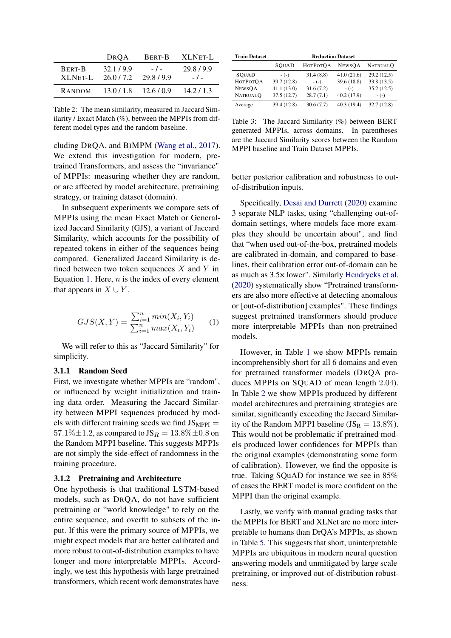<span id="page-2-1"></span>

|                          | <b>DROA</b>          | <b>BERT-B</b>     | XLNET-L           |
|--------------------------|----------------------|-------------------|-------------------|
| <b>BERT-B</b><br>XLNET-L | 32.1/9.9<br>26.017.2 | $-1-$<br>29.8/9.9 | 29.8/9.9<br>$-1-$ |
| RANDOM                   | 13.0/1.8             | 12.6/0.9          | 14.2/1.3          |

Table 2: The mean similarity, measured in Jaccard Similarity / Exact Match (%), between the MPPIs from different model types and the random baseline.

cluding DRQA, and BIMPM [\(Wang et al.,](#page-6-7) [2017\)](#page-6-7). We extend this investigation for modern, pretrained Transformers, and assess the "invariance" of MPPIs: measuring whether they are random, or are affected by model architecture, pretraining strategy, or training dataset (domain).

In subsequent experiments we compare sets of MPPIs using the mean Exact Match or Generalized Jaccard Similarity (GJS), a variant of Jaccard Similarity, which accounts for the possibility of repeated tokens in either of the sequences being compared. Generalized Jaccard Similarity is defined between two token sequences  $X$  and  $Y$  in Equation [1.](#page-2-0) Here,  $n$  is the index of every element that appears in  $X \cup Y$ .

<span id="page-2-0"></span>
$$
GJS(X,Y) = \frac{\sum_{i=1}^{n} \min(X_i, Y_i)}{\sum_{i=1}^{n} \max(X_i, Y_i)}
$$
 (1)

We will refer to this as "Jaccard Similarity" for simplicity.

#### 3.1.1 Random Seed

First, we investigate whether MPPIs are "random", or influenced by weight initialization and training data order. Measuring the Jaccard Similarity between MPPI sequences produced by models with different training seeds we find  $JS_{MPPI} =$ 57.1% $\pm$ 1.2, as compared to JS $_R = 13.8\% \pm 0.8$  on the Random MPPI baseline. This suggests MPPIs are not simply the side-effect of randomness in the training procedure.

#### 3.1.2 Pretraining and Architecture

One hypothesis is that traditional LSTM-based models, such as DRQA, do not have sufficient pretraining or "world knowledge" to rely on the entire sequence, and overfit to subsets of the input. If this were the primary source of MPPIs, we might expect models that are better calibrated and more robust to out-of-distribution examples to have longer and more interpretable MPPIs. Accordingly, we test this hypothesis with large pretrained transformers, which recent work demonstrates have

<span id="page-2-2"></span>

| <b>Train Dataset</b> | <b>Reduction Dataset</b> |                 |               |                 |  |  |
|----------------------|--------------------------|-----------------|---------------|-----------------|--|--|
|                      | SOUAD                    | <b>НОТРОТОА</b> | <b>NEWSQA</b> | <b>NATRUALO</b> |  |  |
| SOUAD                | $-(-)$                   | 31.4(8.8)       | 41.0(21.6)    | 29.2(12.5)      |  |  |
| <b>НОТРОТОА</b>      | 39.7 (12.8)              | $-(-)$          | 39.6 (18.8)   | 33.8 (13.5)     |  |  |
| <b>NEWSOA</b>        | 41.1(13.0)               | 31.6(7.2)       | $-(-)$        | 35.2(12.5)      |  |  |
| <b>NATRUALQ</b>      | 37.5(12.7)               | 28.7(7.1)       | 40.2(17.9)    | $-(-)$          |  |  |
| Average              | 39.4 (12.8)              | 30.6(7.7)       | 40.3(19.4)    | 32.7(12.8)      |  |  |

Table 3: The Jaccard Similarity (%) between BERT generated MPPIs, across domains. In parentheses are the Jaccard Similarity scores between the Random MPPI baseline and Train Dataset MPPIs.

better posterior calibration and robustness to outof-distribution inputs.

Specifically, [Desai and Durrett](#page-5-7) [\(2020\)](#page-5-7) examine 3 separate NLP tasks, using "challenging out-ofdomain settings, where models face more examples they should be uncertain about", and find that "when used out-of-the-box, pretrained models are calibrated in-domain, and compared to baselines, their calibration error out-of-domain can be as much as 3.5× lower". Similarly [Hendrycks et al.](#page-5-6) [\(2020\)](#page-5-6) systematically show "Pretrained transformers are also more effective at detecting anomalous or [out-of-distribution] examples". These findings suggest pretrained transformers should produce more interpretable MPPIs than non-pretrained models.

However, in Table [1](#page-1-3) we show MPPIs remain incomprehensibly short for all 6 domains and even for pretrained transformer models (DRQA produces MPPIs on SQUAD of mean length 2.04). In Table [2](#page-2-1) we show MPPIs produced by different model architectures and pretraining strategies are similar, significantly exceeding the Jaccard Similarity of the Random MPPI baseline ( $JS_R = 13.8\%$ ). This would not be problematic if pretrained models produced lower confidences for MPPIs than the original examples (demonstrating some form of calibration). However, we find the opposite is true. Taking SQuAD for instance we see in 85% of cases the BERT model is more confident on the MPPI than the original example.

Lastly, we verify with manual grading tasks that the MPPIs for BERT and XLNet are no more interpretable to humans than DrQA's MPPIs, as shown in Table [5.](#page-4-0) This suggests that short, uninterpretable MPPIs are ubiquitous in modern neural question answering models and unmitigated by large scale pretraining, or improved out-of-distribution robustness.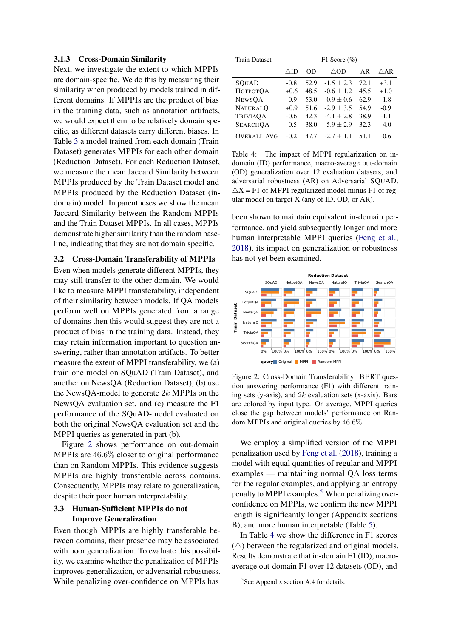#### 3.1.3 Cross-Domain Similarity

Next, we investigate the extent to which MPPIs are domain-specific. We do this by measuring their similarity when produced by models trained in different domains. If MPPIs are the product of bias in the training data, such as annotation artifacts, we would expect them to be relatively domain specific, as different datasets carry different biases. In Table [3](#page-2-2) a model trained from each domain (Train Dataset) generates MPPIs for each other domain (Reduction Dataset). For each Reduction Dataset, we measure the mean Jaccard Similarity between MPPIs produced by the Train Dataset model and MPPIs produced by the Reduction Dataset (indomain) model. In parentheses we show the mean Jaccard Similarity between the Random MPPIs and the Train Dataset MPPIs. In all cases, MPPIs demonstrate higher similarity than the random baseline, indicating that they are not domain specific.

#### 3.2 Cross-Domain Transferability of MPPIs

Even when models generate different MPPIs, they may still transfer to the other domain. We would like to measure MPPI transferability, independent of their similarity between models. If QA models perform well on MPPIs generated from a range of domains then this would suggest they are not a product of bias in the training data. Instead, they may retain information important to question answering, rather than annotation artifacts. To better measure the extent of MPPI transferability, we (a) train one model on SQuAD (Train Dataset), and another on NewsQA (Reduction Dataset), (b) use the NewsQA-model to generate  $2k$  MPPIs on the NewsQA evaluation set, and (c) measure the F1 performance of the SQuAD-model evaluated on both the original NewsQA evaluation set and the MPPI queries as generated in part (b).

Figure [2](#page-3-0) shows performance on out-domain MPPIs are 46.6% closer to original performance than on Random MPPIs. This evidence suggests MPPIs are highly transferable across domains. Consequently, MPPIs may relate to generalization, despite their poor human interpretability.

## 3.3 Human-Sufficient MPPIs do not Improve Generalization

Even though MPPIs are highly transferable between domains, their presence may be associated with poor generalization. To evaluate this possibility, we examine whether the penalization of MPPIs improves generalization, or adversarial robustness. While penalizing over-confidence on MPPIs has

<span id="page-3-2"></span>

| <b>Train Dataset</b> | F1 Score $(\%)$ |      |              |      |             |  |
|----------------------|-----------------|------|--------------|------|-------------|--|
|                      | ∧m              | OD   | $\wedge$ OD  | AR   | $\wedge$ AR |  |
| SOUAD                | $-0.8$          | 52.9 | $-1.5 + 2.3$ | 72.1 | $+3.1$      |  |
| <b>НОТРОТОА</b>      | $+0.6$          | 48.5 | $-0.6 + 1.2$ | 45.5 | $+1.0$      |  |
| <b>NEWSOA</b>        | $-0.9$          | 53.0 | $-0.9 + 0.6$ | 62.9 | $-1.8$      |  |
| <b>NATURALO</b>      | $+0.9$          | 51.6 | $-2.9 + 3.5$ | 54.9 | $-0.9$      |  |
| TRIVIAOA             | $-0.6$          | 42.3 | $-4.1 + 2.8$ | 38.9 | $-1.1$      |  |
| <b>SEARCHOA</b>      | $-0.5$          | 38.0 | $-5.9 + 2.9$ | 32.3 | $-4.0$      |  |
| <b>OVERALL AVG</b>   | $-0.2$          | 47 7 | $-2.7 + 1.1$ | 51.1 | $-0.6$      |  |

Table 4: The impact of MPPI regularization on indomain (ID) performance, macro-average out-domain (OD) generalization over 12 evaluation datasets, and adversarial robustness (AR) on Adversarial SQUAD.  $\triangle X$  = F1 of MPPI regularized model minus F1 of regular model on target X (any of ID, OD, or AR).

been shown to maintain equivalent in-domain performance, and yield subsequently longer and more human interpretable MPPI queries [\(Feng et al.,](#page-5-0) [2018\)](#page-5-0), its impact on generalization or robustness has not yet been examined.

<span id="page-3-0"></span>

Figure 2: Cross-Domain Transferability: BERT question answering performance (F1) with different training sets (y-axis), and  $2k$  evaluation sets (x-axis). Bars are colored by input type. On average, MPPI queries close the gap between models' performance on Random MPPIs and original queries by 46.6%.

We employ a simplified version of the MPPI penalization used by [Feng et al.](#page-5-0) [\(2018\)](#page-5-0), training a model with equal quantities of regular and MPPI examples — maintaining normal QA loss terms for the regular examples, and applying an entropy penalty to MPPI examples.<sup>[5](#page-3-1)</sup> When penalizing overconfidence on MPPIs, we confirm the new MPPI length is significantly longer (Appendix sections B), and more human interpretable (Table [5\)](#page-4-0).

In Table [4](#page-3-2) we show the difference in F1 scores  $(\triangle)$  between the regularized and original models. Results demonstrate that in-domain F1 (ID), macroaverage out-domain F1 over 12 datasets (OD), and

<span id="page-3-1"></span><sup>5</sup> See Appendix section A.4 for details.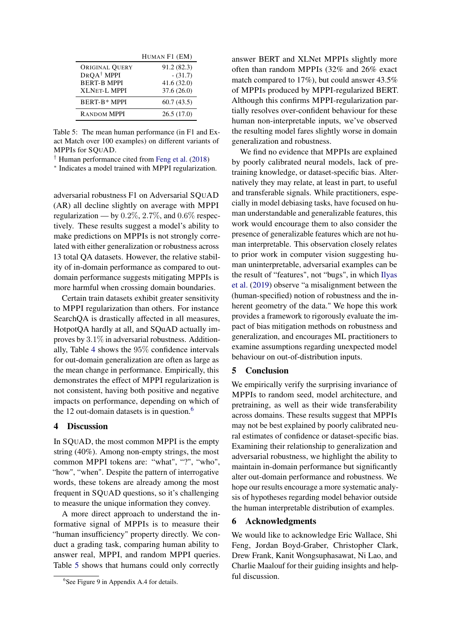<span id="page-4-0"></span>

|                                                | HUMAN F1 (EM)            |
|------------------------------------------------|--------------------------|
| <b>ORIGINAL QUERY</b><br>$DRQA^{\dagger} MPPI$ | 91.2 (82.3)<br>$-(31.7)$ |
| <b>BERT-B MPPI</b><br><b>XLNET-L MPPI</b>      | 41.6(32.0)<br>37.6(26.0) |
| <b>BERT-B* MPPI</b>                            | 60.7(43.5)               |
| <b>RANDOM MPPI</b>                             | 26.5(17.0)               |

Table 5: The mean human performance (in F1 and Exact Match over 100 examples) on different variants of MPPIs for SQUAD.

† Human performance cited from [Feng et al.](#page-5-0) [\(2018\)](#page-5-0)

∗ Indicates a model trained with MPPI regularization.

adversarial robustness F1 on Adversarial SQUAD (AR) all decline slightly on average with MPPI regularization — by  $0.2\%, 2.7\%$ , and  $0.6\%$  respectively. These results suggest a model's ability to make predictions on MPPIs is not strongly correlated with either generalization or robustness across 13 total QA datasets. However, the relative stability of in-domain performance as compared to outdomain performance suggests mitigating MPPIs is more harmful when crossing domain boundaries.

Certain train datasets exhibit greater sensitivity to MPPI regularization than others. For instance SearchQA is drastically affected in all measures, HotpotQA hardly at all, and SQuAD actually improves by 3.1% in adversarial robustness. Additionally, Table [4](#page-3-2) shows the 95% confidence intervals for out-domain generalization are often as large as the mean change in performance. Empirically, this demonstrates the effect of MPPI regularization is not consistent, having both positive and negative impacts on performance, depending on which of the 12 out-domain datasets is in question.<sup>[6](#page-4-1)</sup>

#### 4 Discussion

In SQUAD, the most common MPPI is the empty string (40%). Among non-empty strings, the most common MPPI tokens are: "what", "?", "who", "how", "when". Despite the pattern of interrogative words, these tokens are already among the most frequent in SQUAD questions, so it's challenging to measure the unique information they convey.

A more direct approach to understand the informative signal of MPPIs is to measure their "human insufficiency" property directly. We conduct a grading task, comparing human ability to answer real, MPPI, and random MPPI queries. Table [5](#page-4-0) shows that humans could only correctly

answer BERT and XLNet MPPIs slightly more often than random MPPIs (32% and 26% exact match compared to 17%), but could answer 43.5% of MPPIs produced by MPPI-regularized BERT. Although this confirms MPPI-regularization partially resolves over-confident behaviour for these human non-interpretable inputs, we've observed the resulting model fares slightly worse in domain generalization and robustness.

We find no evidence that MPPIs are explained by poorly calibrated neural models, lack of pretraining knowledge, or dataset-specific bias. Alternatively they may relate, at least in part, to useful and transferable signals. While practitioners, especially in model debiasing tasks, have focused on human understandable and generalizable features, this work would encourage them to also consider the presence of generalizable features which are not human interpretable. This observation closely relates to prior work in computer vision suggesting human uninterpretable, adversarial examples can be the result of "features", not "bugs", in which [Ilyas](#page-5-17) [et al.](#page-5-17) [\(2019\)](#page-5-17) observe "a misalignment between the (human-specified) notion of robustness and the inherent geometry of the data." We hope this work provides a framework to rigorously evaluate the impact of bias mitigation methods on robustness and generalization, and encourages ML practitioners to examine assumptions regarding unexpected model behaviour on out-of-distribution inputs.

## 5 Conclusion

We empirically verify the surprising invariance of MPPIs to random seed, model architecture, and pretraining, as well as their wide transferability across domains. These results suggest that MPPIs may not be best explained by poorly calibrated neural estimates of confidence or dataset-specific bias. Examining their relationship to generalization and adversarial robustness, we highlight the ability to maintain in-domain performance but significantly alter out-domain performance and robustness. We hope our results encourage a more systematic analysis of hypotheses regarding model behavior outside the human interpretable distribution of examples.

#### 6 Acknowledgments

We would like to acknowledge Eric Wallace, Shi Feng, Jordan Boyd-Graber, Christopher Clark, Drew Frank, Kanit Wongsuphasawat, Ni Lao, and Charlie Maalouf for their guiding insights and helpful discussion.

<span id="page-4-1"></span><sup>&</sup>lt;sup>6</sup>See Figure 9 in Appendix A.4 for details.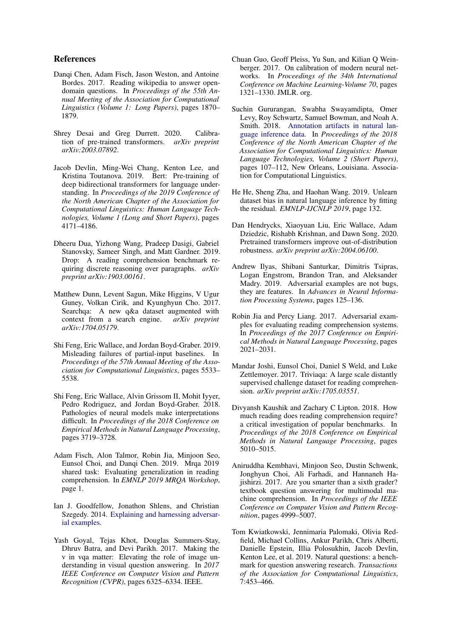#### References

- <span id="page-5-14"></span>Dangi Chen, Adam Fisch, Jason Weston, and Antoine Bordes. 2017. Reading wikipedia to answer opendomain questions. In *Proceedings of the 55th Annual Meeting of the Association for Computational Linguistics (Volume 1: Long Papers)*, pages 1870– 1879.
- <span id="page-5-7"></span>Shrey Desai and Greg Durrett. 2020. Calibration of pre-trained transformers. *arXiv preprint arXiv:2003.07892*.
- <span id="page-5-15"></span>Jacob Devlin, Ming-Wei Chang, Kenton Lee, and Kristina Toutanova. 2019. Bert: Pre-training of deep bidirectional transformers for language understanding. In *Proceedings of the 2019 Conference of the North American Chapter of the Association for Computational Linguistics: Human Language Technologies, Volume 1 (Long and Short Papers)*, pages 4171–4186.
- <span id="page-5-18"></span>Dheeru Dua, Yizhong Wang, Pradeep Dasigi, Gabriel Stanovsky, Sameer Singh, and Matt Gardner. 2019. Drop: A reading comprehension benchmark requiring discrete reasoning over paragraphs. *arXiv preprint arXiv:1903.00161*.
- <span id="page-5-13"></span>Matthew Dunn, Levent Sagun, Mike Higgins, V Ugur Guney, Volkan Cirik, and Kyunghyun Cho. 2017. Searchqa: A new q&a dataset augmented with context from a search engine. *arXiv preprint* context from a search engine. *arXiv:1704.05179*.
- <span id="page-5-1"></span>Shi Feng, Eric Wallace, and Jordan Boyd-Graber. 2019. Misleading failures of partial-input baselines. In *Proceedings of the 57th Annual Meeting of the Association for Computational Linguistics*, pages 5533– 5538.
- <span id="page-5-0"></span>Shi Feng, Eric Wallace, Alvin Grissom II, Mohit Iyyer, Pedro Rodriguez, and Jordan Boyd-Graber. 2018. Pathologies of neural models make interpretations difficult. In *Proceedings of the 2018 Conference on Empirical Methods in Natural Language Processing*, pages 3719–3728.
- <span id="page-5-16"></span>Adam Fisch, Alon Talmor, Robin Jia, Minjoon Seo, Eunsol Choi, and Dangi Chen. 2019. Mrga 2019 shared task: Evaluating generalization in reading comprehension. In *EMNLP 2019 MRQA Workshop*, page 1.
- <span id="page-5-5"></span>Ian J. Goodfellow, Jonathon Shlens, and Christian Szegedy. 2014. [Explaining and harnessing adversar](http://arxiv.org/abs/1412.6572)[ial examples.](http://arxiv.org/abs/1412.6572)
- <span id="page-5-9"></span>Yash Goyal, Tejas Khot, Douglas Summers-Stay, Dhruv Batra, and Devi Parikh. 2017. Making the v in vqa matter: Elevating the role of image understanding in visual question answering. In *2017 IEEE Conference on Computer Vision and Pattern Recognition (CVPR)*, pages 6325–6334. IEEE.
- <span id="page-5-4"></span>Chuan Guo, Geoff Pleiss, Yu Sun, and Kilian Q Weinberger. 2017. On calibration of modern neural networks. In *Proceedings of the 34th International Conference on Machine Learning-Volume 70*, pages 1321–1330. JMLR. org.
- <span id="page-5-8"></span>Suchin Gururangan, Swabha Swayamdipta, Omer Levy, Roy Schwartz, Samuel Bowman, and Noah A. Smith. 2018. [Annotation artifacts in natural lan](https://doi.org/10.18653/v1/N18-2017)[guage inference data.](https://doi.org/10.18653/v1/N18-2017) In *Proceedings of the 2018 Conference of the North American Chapter of the Association for Computational Linguistics: Human Language Technologies, Volume 2 (Short Papers)*, pages 107–112, New Orleans, Louisiana. Association for Computational Linguistics.
- <span id="page-5-3"></span>He He, Sheng Zha, and Haohan Wang. 2019. Unlearn dataset bias in natural language inference by fitting the residual. *EMNLP-IJCNLP 2019*, page 132.
- <span id="page-5-6"></span>Dan Hendrycks, Xiaoyuan Liu, Eric Wallace, Adam Dziedzic, Rishabh Krishnan, and Dawn Song. 2020. Pretrained transformers improve out-of-distribution robustness. *arXiv preprint arXiv:2004.06100*.
- <span id="page-5-17"></span>Andrew Ilyas, Shibani Santurkar, Dimitris Tsipras, Logan Engstrom, Brandon Tran, and Aleksander Madry. 2019. Adversarial examples are not bugs, they are features. In *Advances in Neural Information Processing Systems*, pages 125–136.
- <span id="page-5-10"></span>Robin Jia and Percy Liang. 2017. Adversarial examples for evaluating reading comprehension systems. In *Proceedings of the 2017 Conference on Empirical Methods in Natural Language Processing*, pages 2021–2031.
- <span id="page-5-12"></span>Mandar Joshi, Eunsol Choi, Daniel S Weld, and Luke Zettlemoyer. 2017. Triviaqa: A large scale distantly supervised challenge dataset for reading comprehension. *arXiv preprint arXiv:1705.03551*.
- <span id="page-5-2"></span>Divyansh Kaushik and Zachary C Lipton. 2018. How much reading does reading comprehension require? a critical investigation of popular benchmarks. In *Proceedings of the 2018 Conference on Empirical Methods in Natural Language Processing*, pages 5010–5015.
- <span id="page-5-19"></span>Aniruddha Kembhavi, Minjoon Seo, Dustin Schwenk, Jonghyun Choi, Ali Farhadi, and Hannaneh Hajishirzi. 2017. Are you smarter than a sixth grader? textbook question answering for multimodal machine comprehension. In *Proceedings of the IEEE Conference on Computer Vision and Pattern Recognition*, pages 4999–5007.
- <span id="page-5-11"></span>Tom Kwiatkowski, Jennimaria Palomaki, Olivia Redfield, Michael Collins, Ankur Parikh, Chris Alberti, Danielle Epstein, Illia Polosukhin, Jacob Devlin, Kenton Lee, et al. 2019. Natural questions: a benchmark for question answering research. *Transactions of the Association for Computational Linguistics*, 7:453–466.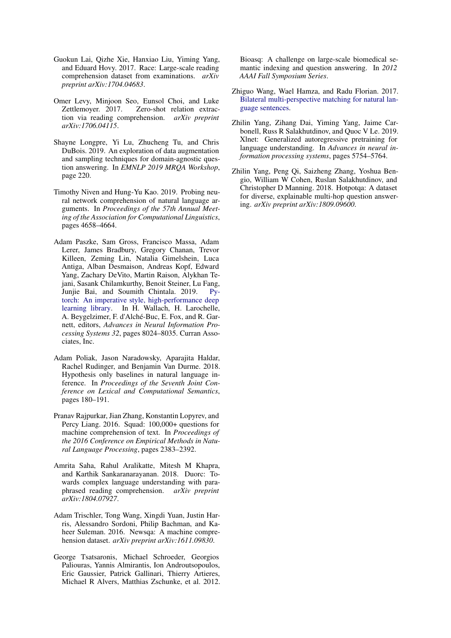- <span id="page-6-11"></span>Guokun Lai, Qizhe Xie, Hanxiao Liu, Yiming Yang, and Eduard Hovy. 2017. Race: Large-scale reading comprehension dataset from examinations. *arXiv preprint arXiv:1704.04683*.
- <span id="page-6-12"></span>Omer Levy, Minjoon Seo, Eunsol Choi, and Luke Zettlemoyer. 2017. Zero-shot relation extraction via reading comprehension. *arXiv preprint arXiv:1706.04115*.
- <span id="page-6-6"></span>Shayne Longpre, Yi Lu, Zhucheng Tu, and Chris DuBois. 2019. An exploration of data augmentation and sampling techniques for domain-agnostic question answering. In *EMNLP 2019 MRQA Workshop*, page 220.
- <span id="page-6-0"></span>Timothy Niven and Hung-Yu Kao. 2019. Probing neural network comprehension of natural language arguments. In *Proceedings of the 57th Annual Meeting of the Association for Computational Linguistics*, pages 4658–4664.
- <span id="page-6-8"></span>Adam Paszke, Sam Gross, Francisco Massa, Adam Lerer, James Bradbury, Gregory Chanan, Trevor Killeen, Zeming Lin, Natalia Gimelshein, Luca Antiga, Alban Desmaison, Andreas Kopf, Edward Yang, Zachary DeVito, Martin Raison, Alykhan Tejani, Sasank Chilamkurthy, Benoit Steiner, Lu Fang, Junjie Bai, and Soumith Chintala. 2019. [Py](http://papers.neurips.cc/paper/9015-pytorch-an-imperative-style-high-performance-deep-learning-library.pdf)[torch: An imperative style, high-performance deep](http://papers.neurips.cc/paper/9015-pytorch-an-imperative-style-high-performance-deep-learning-library.pdf) [learning library.](http://papers.neurips.cc/paper/9015-pytorch-an-imperative-style-high-performance-deep-learning-library.pdf) In H. Wallach, H. Larochelle, A. Beygelzimer, F. d'Alché-Buc, E. Fox, and R. Garnett, editors, *Advances in Neural Information Processing Systems 32*, pages 8024–8035. Curran Associates, Inc.
- <span id="page-6-1"></span>Adam Poliak, Jason Naradowsky, Aparajita Haldar, Rachel Rudinger, and Benjamin Van Durme. 2018. Hypothesis only baselines in natural language inference. In *Proceedings of the Seventh Joint Conference on Lexical and Computational Semantics*, pages 180–191.
- <span id="page-6-2"></span>Pranav Rajpurkar, Jian Zhang, Konstantin Lopyrev, and Percy Liang. 2016. Squad: 100,000+ questions for machine comprehension of text. In *Proceedings of the 2016 Conference on Empirical Methods in Natural Language Processing*, pages 2383–2392.
- <span id="page-6-10"></span>Amrita Saha, Rahul Aralikatte, Mitesh M Khapra, and Karthik Sankaranarayanan. 2018. Duorc: Towards complex language understanding with paraphrased reading comprehension. *arXiv preprint arXiv:1804.07927*.
- <span id="page-6-4"></span>Adam Trischler, Tong Wang, Xingdi Yuan, Justin Harris, Alessandro Sordoni, Philip Bachman, and Kaheer Suleman. 2016. Newsqa: A machine comprehension dataset. *arXiv preprint arXiv:1611.09830*.
- <span id="page-6-9"></span>George Tsatsaronis, Michael Schroeder, Georgios Paliouras, Yannis Almirantis, Ion Androutsopoulos, Eric Gaussier, Patrick Gallinari, Thierry Artieres, Michael R Alvers, Matthias Zschunke, et al. 2012.

Bioasq: A challenge on large-scale biomedical semantic indexing and question answering. In *2012 AAAI Fall Symposium Series*.

- <span id="page-6-7"></span>Zhiguo Wang, Wael Hamza, and Radu Florian. 2017. [Bilateral multi-perspective matching for natural lan](http://arxiv.org/abs/1702.03814)[guage sentences.](http://arxiv.org/abs/1702.03814)
- <span id="page-6-5"></span>Zhilin Yang, Zihang Dai, Yiming Yang, Jaime Carbonell, Russ R Salakhutdinov, and Quoc V Le. 2019. Xlnet: Generalized autoregressive pretraining for language understanding. In *Advances in neural information processing systems*, pages 5754–5764.
- <span id="page-6-3"></span>Zhilin Yang, Peng Qi, Saizheng Zhang, Yoshua Bengio, William W Cohen, Ruslan Salakhutdinov, and Christopher D Manning. 2018. Hotpotqa: A dataset for diverse, explainable multi-hop question answering. *arXiv preprint arXiv:1809.09600*.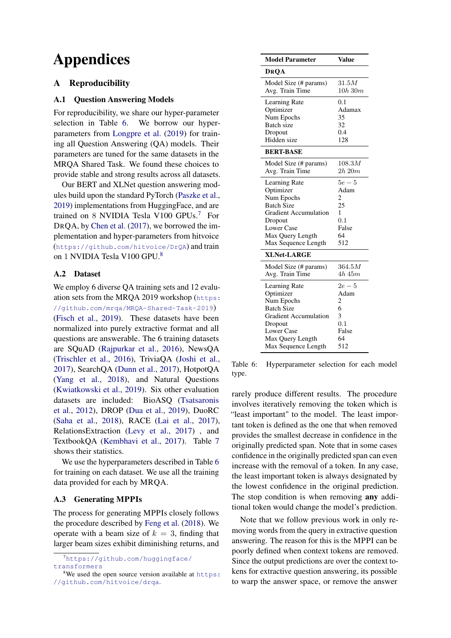# Appendices

## A Reproducibility

## A.1 Question Answering Models

For reproducibility, we share our hyper-parameter selection in Table [6.](#page-7-0) We borrow our hyperparameters from [Longpre et al.](#page-6-6) [\(2019\)](#page-6-6) for training all Question Answering (QA) models. Their parameters are tuned for the same datasets in the MRQA Shared Task. We found these choices to provide stable and strong results across all datasets.

Our BERT and XLNet question answering modules build upon the standard PyTorch [\(Paszke et al.,](#page-6-8) [2019\)](#page-6-8) implementations from HuggingFace, and are trained on 8 NVIDIA Tesla V100 GPUs.<sup>[7](#page-7-1)</sup> For DRQA, by [Chen et al.](#page-5-14)  $(2017)$ , we borrowed the implementation and hyper-parameters from hitvoice (<https://github.com/hitvoice/DrQA>) and train on 1 NVIDIA Tesla V100 GPU.[8](#page-7-2)

## A.2 Dataset

We employ 6 diverse QA training sets and 12 evaluation sets from the MRQA 2019 workshop ([https:](https://github.com/mrqa/MRQA-Shared-Task-2019) [//github.com/mrqa/MRQA-Shared-Task-2019](https://github.com/mrqa/MRQA-Shared-Task-2019)) [\(Fisch et al.,](#page-5-16) [2019\)](#page-5-16). These datasets have been normalized into purely extractive format and all questions are answerable. The 6 training datasets are SQuAD [\(Rajpurkar et al.,](#page-6-2) [2016\)](#page-6-2), NewsQA [\(Trischler et al.,](#page-6-4) [2016\)](#page-6-4), TriviaQA [\(Joshi et al.,](#page-5-12) [2017\)](#page-5-12), SearchQA [\(Dunn et al.,](#page-5-13) [2017\)](#page-5-13), HotpotQA [\(Yang et al.,](#page-6-3) [2018\)](#page-6-3), and Natural Questions [\(Kwiatkowski et al.,](#page-5-11) [2019\)](#page-5-11). Six other evaluation datasets are included: BioASQ [\(Tsatsaronis](#page-6-9) [et al.,](#page-6-9) [2012\)](#page-6-9), DROP [\(Dua et al.,](#page-5-18) [2019\)](#page-5-18), DuoRC [\(Saha et al.,](#page-6-10) [2018\)](#page-6-10), RACE [\(Lai et al.,](#page-6-11) [2017\)](#page-6-11), RelationsExtraction [\(Levy et al.,](#page-6-12) [2017\)](#page-6-12) , and TextbookQA [\(Kembhavi et al.,](#page-5-19) [2017\)](#page-5-19). Table [7](#page-8-0) shows their statistics.

We use the hyperparameters described in Table [6](#page-7-0) for training on each dataset. We use all the training data provided for each by MRQA.

## A.3 Generating MPPIs

The process for generating MPPIs closely follows the procedure described by [Feng et al.](#page-5-0) [\(2018\)](#page-5-0). We operate with a beam size of  $k = 3$ , finding that larger beam sizes exhibit diminishing returns, and

<span id="page-7-0"></span>

| <b>Model Parameter</b>       | <b>Value</b> |
|------------------------------|--------------|
| <b>DROA</b>                  |              |
| Model Size (# params)        | 31.5M        |
| Avg. Train Time              | $10h\,30m$   |
| Learning Rate                | 0.1          |
| Optimizer                    | Adamax       |
| Num Epochs                   | 35           |
| <b>Batch</b> size            | 32           |
| Dropout                      | 0.4          |
| Hidden size                  | 128          |
| <b>BERT-BASE</b>             |              |
| Model Size (# params)        | 108.3M       |
| Avg. Train Time              | 2h 20m       |
| Learning Rate                | $5e-5$       |
| Optimizer                    | Adam         |
| Num Epochs                   | 2            |
| <b>Batch Size</b>            | 25           |
| <b>Gradient Accumulation</b> | 1            |
| Dropout                      | 0.1          |
| <b>Lower Case</b>            | False        |
| Max Query Length             | 64           |
| Max Sequence Length          | 512          |
| <b>XLNet-LARGE</b>           |              |
| Model Size (# params)        | 364.5M       |
| Avg. Train Time              | 4h.45m       |
| Learning Rate                | $2e-5$       |
| Optimizer                    | Adam         |
| Num Epochs                   | 2            |
| <b>Batch Size</b>            | 6            |
| <b>Gradient Accumulation</b> | 3            |
| Dropout                      | 0.1          |
| <b>Lower Case</b>            | False        |
| Max Query Length             | 64           |
| Max Sequence Length          | 512          |

Table 6: Hyperparameter selection for each model type.

rarely produce different results. The procedure involves iteratively removing the token which is "least important" to the model. The least important token is defined as the one that when removed provides the smallest decrease in confidence in the originally predicted span. Note that in some cases confidence in the originally predicted span can even increase with the removal of a token. In any case, the least important token is always designated by the lowest confidence in the original prediction. The stop condition is when removing **any** additional token would change the model's prediction.

Note that we follow previous work in only removing words from the query in extractive question answering. The reason for this is the MPPI can be poorly defined when context tokens are removed. Since the output predictions are over the context tokens for extractive question answering, its possible to warp the answer space, or remove the answer

<span id="page-7-1"></span> $7$ https://qithub.com/huqqinqface/ [transformers](https://github.com/huggingface/transformers)

<span id="page-7-2"></span>We used the open source version available at  $https:$ [//github.com/hitvoice/drqa](https://github.com/hitvoice/drqa).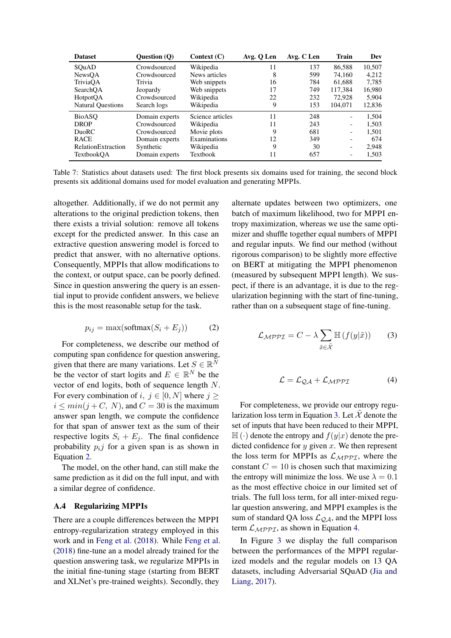<span id="page-8-0"></span>

| <b>Dataset</b>           | Question (Q)   | Context $(C)$    | Avg. Q Len | Avg. C Len | <b>Train</b>             | Dev    |
|--------------------------|----------------|------------------|------------|------------|--------------------------|--------|
| SOuAD                    | Crowdsourced   | Wikipedia        | 11         | 137        | 86.588                   | 10,507 |
| NewsOA                   | Crowdsourced   | News articles    | 8          | 599        | 74,160                   | 4,212  |
| TriviaOA                 | Trivia         | Web snippets     | 16         | 784        | 61.688                   | 7,785  |
| SearchOA                 | Jeopardy       | Web snippets     | 17         | 749        | 117,384                  | 16,980 |
| HotpotQA                 | Crowdsourced   | Wikipedia        | 22         | 232        | 72,928                   | 5,904  |
| <b>Natural Ouestions</b> | Search logs    | Wikipedia        | 9          | 153        | 104.071                  | 12,836 |
| <b>BioASO</b>            | Domain experts | Science articles | 11         | 248        | $\overline{\phantom{a}}$ | 1,504  |
| <b>DROP</b>              | Crowdsourced   | Wikipedia        | 11         | 243        | $\blacksquare$           | 1,503  |
| <b>DuoRC</b>             | Crowdsourced   | Movie plots      | 9          | 681        | $\overline{\phantom{a}}$ | 1.501  |
| <b>RACE</b>              | Domain experts | Examinations     | 12         | 349        | $\overline{\phantom{a}}$ | 674    |
| RelationExtraction       | Synthetic      | Wikipedia        | 9          | 30         | $\overline{\phantom{a}}$ | 2,948  |
| TextbookOA               | Domain experts | <b>Textbook</b>  | 11         | 657        | $\overline{\phantom{a}}$ | 1,503  |

Table 7: Statistics about datasets used: The first block presents six domains used for training, the second block presents six additional domains used for model evaluation and generating MPPIs.

altogether. Additionally, if we do not permit any alterations to the original prediction tokens, then there exists a trivial solution: remove all tokens except for the predicted answer. In this case an extractive question answering model is forced to predict that answer, with no alternative options. Consequently, MPPIs that allow modifications to the context, or output space, can be poorly defined. Since in question answering the query is an essential input to provide confident answers, we believe this is the most reasonable setup for the task.

$$
p_{ij} = \max(\text{softmax}(S_i + E_j)) \tag{2}
$$

<span id="page-8-1"></span>For completeness, we describe our method of computing span confidence for question answering, given that there are many variations. Let  $S \in \mathbb{R}^N$ be the vector of start logits and  $E \in \mathbb{R}^N$  be the vector of end logits, both of sequence length N. For every combination of i,  $j \in [0, N]$  where  $j \geq$  $i \leq min(j+C, N)$ , and  $C = 30$  is the maximum answer span length, we compute the confidence for that span of answer text as the sum of their respective logits  $S_i + E_j$ . The final confidence probability  $p_{i}j$  for a given span is as shown in Equation [2.](#page-8-1)

The model, on the other hand, can still make the same prediction as it did on the full input, and with a similar degree of confidence.

#### A.4 Regularizing MPPIs

There are a couple differences between the MPPI entropy-regularization strategy employed in this work and in [Feng et al.](#page-5-0) [\(2018\)](#page-5-0). While [Feng et al.](#page-5-0) [\(2018\)](#page-5-0) fine-tune an a model already trained for the question answering task, we regularize MPPIs in the initial fine-tuning stage (starting from BERT and XLNet's pre-trained weights). Secondly, they

alternate updates between two optimizers, one batch of maximum likelihood, two for MPPI entropy maximization, whereas we use the same optimizer and shuffle together equal numbers of MPPI and regular inputs. We find our method (without rigorous comparison) to be slightly more effective on BERT at mitigating the MPPI phenomenon (measured by subsequent MPPI length). We suspect, if there is an advantage, it is due to the regularization beginning with the start of fine-tuning, rather than on a subsequent stage of fine-tuning.

<span id="page-8-2"></span>
$$
\mathcal{L}_{\mathcal{M}\mathcal{P}\mathcal{P}\mathcal{I}} = C - \lambda \sum_{\tilde{x}\in \tilde{\mathcal{X}}} \mathbb{H}\left(f(y|\tilde{x})\right) \tag{3}
$$

$$
\mathcal{L} = \mathcal{L}_{\mathcal{QA}} + \mathcal{L}_{\mathcal{MPPI}} \tag{4}
$$

<span id="page-8-3"></span>For completeness, we provide our entropy regu-larization loss term in Equation [3.](#page-8-2) Let  $\tilde{\mathcal{X}}$  denote the set of inputs that have been reduced to their MPPI,  $\mathbb{H}(\cdot)$  denote the entropy and  $f(y|x)$  denote the predicted confidence for  $y$  given  $x$ . We then represent the loss term for MPPIs as  $\mathcal{L}_{\mathcal{MPPI}}$ , where the constant  $C = 10$  is chosen such that maximizing the entropy will minimize the loss. We use  $\lambda = 0.1$ as the most effective choice in our limited set of trials. The full loss term, for all inter-mixed regular question answering, and MPPI examples is the sum of standard QA loss  $\mathcal{L}_{OA}$ , and the MPPI loss term  $\mathcal{L}_{MPPI}$ , as shown in Equation [4.](#page-8-3)

In Figure [3](#page-9-0) we display the full comparison between the performances of the MPPI regularized models and the regular models on 13 QA datasets, including Adversarial SQuAD [\(Jia and](#page-5-10) [Liang,](#page-5-10) [2017\)](#page-5-10).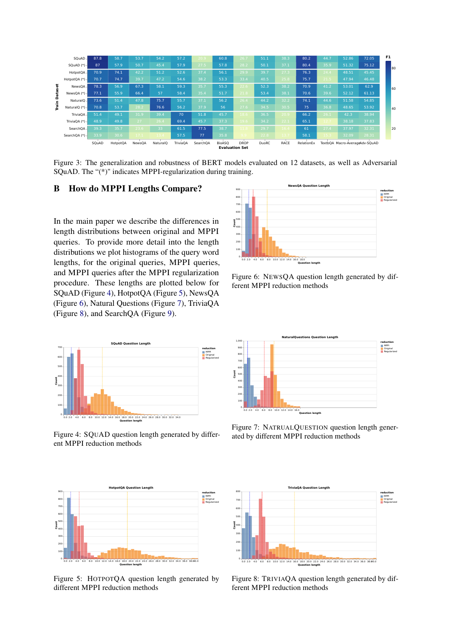<span id="page-9-0"></span>

Figure 3: The generalization and robustness of BERT models evaluated on 12 datasets, as well as Adversarial SQuAD. The "(\*)" indicates MPPI-regularization during training.

#### B How do MPPI Lengths Compare?

In the main paper we describe the differences in length distributions between original and MPPI queries. To provide more detail into the length distributions we plot histograms of the query word lengths, for the original queries, MPPI queries, and MPPI queries after the MPPI regularization procedure. These lengths are plotted below for SQuAD (Figure [4\)](#page-9-1), HotpotQA (Figure [5\)](#page-9-2), NewsQA (Figure [6\)](#page-9-3), Natural Questions (Figure [7\)](#page-9-4), TriviaQA (Figure [8\)](#page-9-5), and SearchQA (Figure [9\)](#page-10-0).

<span id="page-9-1"></span>

Figure 4: SQUAD question length generated by different MPPI reduction methods

<span id="page-9-3"></span>

Figure 6: NEWSQA question length generated by different MPPI reduction methods

<span id="page-9-4"></span>

Figure 7: NATRUALQUESTION question length generated by different MPPI reduction methods

<span id="page-9-2"></span>

Figure 5: HOTPOTQA question length generated by different MPPI reduction methods

<span id="page-9-5"></span>

Figure 8: TRIVIAQA question length generated by different MPPI reduction methods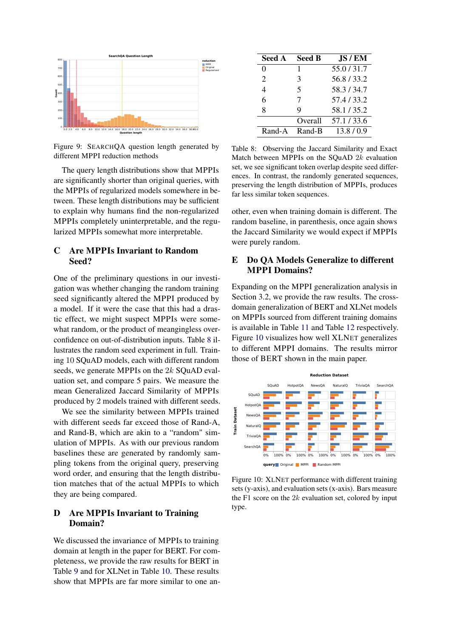<span id="page-10-0"></span>

Figure 9: SEARCHQA question length generated by different MPPI reduction methods

The query length distributions show that MPPIs are significantly shorter than original queries, with the MPPIs of regularized models somewhere in between. These length distributions may be sufficient to explain why humans find the non-regularized MPPIs completely uninterpretable, and the regularized MPPIs somewhat more interpretable.

## C Are MPPIs Invariant to Random Seed?

One of the preliminary questions in our investigation was whether changing the random training seed significantly altered the MPPI produced by a model. If it were the case that this had a drastic effect, we might suspect MPPIs were somewhat random, or the product of meangingless overconfidence on out-of-distribution inputs. Table [8](#page-10-1) illustrates the random seed experiment in full. Training 10 SQuAD models, each with different random seeds, we generate MPPIs on the 2k SQuAD evaluation set, and compare 5 pairs. We measure the mean Generalized Jaccard Similarity of MPPIs produced by 2 models trained with different seeds.

We see the similarity between MPPIs trained with different seeds far exceed those of Rand-A, and Rand-B, which are akin to a "random" simulation of MPPIs. As with our previous random baselines these are generated by randomly sampling tokens from the original query, preserving word order, and ensuring that the length distribution matches that of the actual MPPIs to which they are being compared.

## D Are MPPIs Invariant to Training Domain?

We discussed the invariance of MPPIs to training domain at length in the paper for BERT. For completeness, we provide the raw results for BERT in Table [9](#page-11-0) and for XLNet in Table [10.](#page-11-1) These results show that MPPIs are far more similar to one an-

<span id="page-10-1"></span>

| Seed A         | <b>Seed B</b> | JS/EM       |
|----------------|---------------|-------------|
| 0              | 1             | 55.0/31.7   |
| 2              | 3             | 56.8/33.2   |
| $\overline{4}$ | 5             | 58.3/34.7   |
| 6              | 7             | 57.4 / 33.2 |
| 8              | Q             | 58.1/35.2   |
|                | Overall       | 57.1/33.6   |
| Rand-A         | Rand-B        | 13.8/0.9    |

Table 8: Observing the Jaccard Similarity and Exact Match between MPPIs on the SQuAD  $2k$  evaluation set, we see significant token overlap despite seed differences. In contrast, the randomly generated sequences, preserving the length distribution of MPPIs, produces far less similar token sequences.

other, even when training domain is different. The random baseline, in parenthesis, once again shows the Jaccard Similarity we would expect if MPPIs were purely random.

## E Do QA Models Generalize to different MPPI Domains?

Expanding on the MPPI generalization analysis in Section 3.2, we provide the raw results. The crossdomain generalization of BERT and XLNet models on MPPIs sourced from different training domains is available in Table [11](#page-11-2) and Table [12](#page-12-0) respectively. Figure [10](#page-10-2) visualizes how well XLNET generalizes to different MPPI domains. The results mirror those of BERT shown in the main paper.

<span id="page-10-2"></span>

Figure 10: XLNET performance with different training sets (y-axis), and evaluation sets (x-axis). Bars measure the F1 score on the  $2k$  evaluation set, colored by input type.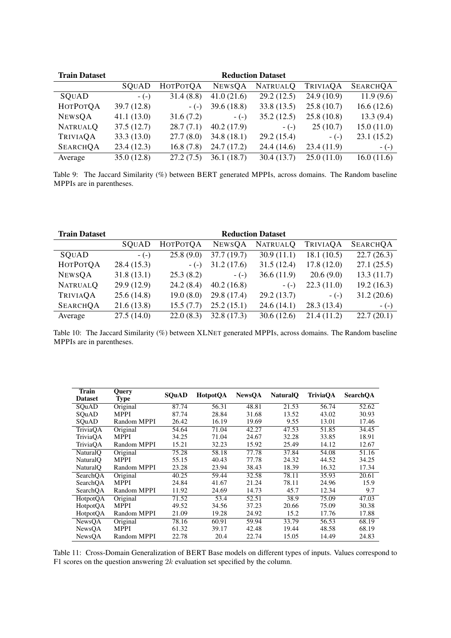<span id="page-11-0"></span>

| <b>Train Dataset</b> | <b>Reduction Dataset</b> |                 |               |                 |            |                 |  |
|----------------------|--------------------------|-----------------|---------------|-----------------|------------|-----------------|--|
|                      | SQUAD                    | <b>НОТРОТОА</b> | <b>NEWSOA</b> | <b>NATRUALQ</b> | TRIVIAQA   | <b>SEARCHOA</b> |  |
| SQUAD                | $-(-)$                   | 31.4(8.8)       | 41.0(21.6)    | 29.2(12.5)      | 24.9(10.9) | 11.9(9.6)       |  |
| <b>НОТРОТОА</b>      | 39.7(12.8)               | $-(-)$          | 39.6(18.8)    | 33.8(13.5)      | 25.8(10.7) | 16.6(12.6)      |  |
| <b>NEWSOA</b>        | 41.1(13.0)               | 31.6(7.2)       | $-(-)$        | 35.2(12.5)      | 25.8(10.8) | 13.3(9.4)       |  |
| <b>NATRUALQ</b>      | 37.5(12.7)               | 28.7(7.1)       | 40.2 (17.9)   | $-(-)$          | 25(10.7)   | 15.0(11.0)      |  |
| TRIVIAQA             | 33.3(13.0)               | 27.7(8.0)       | 34.8(18.1)    | 29.2(15.4)      | $-(-)$     | 23.1(15.2)      |  |
| <b>SEARCHQA</b>      | 23.4(12.3)               | 16.8(7.8)       | 24.7(17.2)    | 24.4(14.6)      | 23.4(11.9) | $-(-)$          |  |
| Average              | 35.0(12.8)               | 27.2(7.5)       | 36.1(18.7)    | 30.4(13.7)      | 25.0(11.0) | 16.0(11.6)      |  |

Table 9: The Jaccard Similarity (%) between BERT generated MPPIs, across domains. The Random baseline MPPIs are in parentheses.

<span id="page-11-1"></span>

| <b>Train Dataset</b> | <b>Reduction Dataset</b> |                 |               |                 |            |                 |  |  |
|----------------------|--------------------------|-----------------|---------------|-----------------|------------|-----------------|--|--|
|                      | SQUAD                    | <b>НОТРОТОА</b> | <b>NEWSQA</b> | <b>NATRUALQ</b> | TRIVIAQA   | <b>SEARCHOA</b> |  |  |
| SQUAD                | $-(-)$                   | 25.8(9.0)       | 37.7(19.7)    | 30.9(11.1)      | 18.1(10.5) | 22.7(26.3)      |  |  |
| <b>НОТРОТОА</b>      | 28.4(15.3)               | $-(-)$          | 31.2(17.6)    | 31.5(12.4)      | 17.8(12.0) | 27.1(25.5)      |  |  |
| <b>NEWSOA</b>        | 31.8(13.1)               | 25.3(8.2)       | $-(-)$        | 36.6(11.9)      | 20.6(9.0)  | 13.3(11.7)      |  |  |
| <b>NATRUALQ</b>      | 29.9(12.9)               | 24.2(8.4)       | 40.2(16.8)    | $-(-)$          | 22.3(11.0) | 19.2(16.3)      |  |  |
| TRIVIAQA             | 25.6(14.8)               | 19.0(8.0)       | 29.8 (17.4)   | 29.2(13.7)      | $-(-)$     | 31.2(20.6)      |  |  |
| <b>SEARCHQA</b>      | 21.6(13.8)               | 15.5(7.7)       | 25.2(15.1)    | 24.6(14.1)      | 28.3(13.4) | $-(-)$          |  |  |
| Average              | 27.5(14.0)               | 22.0(8.3)       | 32.8(17.3)    | 30.6(12.6)      | 21.4(11.2) | 22.7(20.1)      |  |  |

Table 10: The Jaccard Similarity (%) between XLNET generated MPPIs, across domains. The Random baseline MPPIs are in parentheses.

<span id="page-11-2"></span>

| <b>Train</b>    | Query       |       |                 |               |                 |                 |                 |
|-----------------|-------------|-------|-----------------|---------------|-----------------|-----------------|-----------------|
| <b>Dataset</b>  | Type        | SOuAD | <b>HotpotOA</b> | <b>NewsQA</b> | <b>NaturalO</b> | <b>TriviaOA</b> | <b>SearchOA</b> |
| SQuAD           | Original    | 87.74 | 56.31           | 48.81         | 21.53           | 56.74           | 52.62           |
| SOuAD           | MPPI        | 87.74 | 28.84           | 31.68         | 13.52           | 43.02           | 30.93           |
| SQuAD           | Random MPPI | 26.42 | 16.19           | 19.69         | 9.55            | 13.01           | 17.46           |
| <b>TriviaOA</b> | Original    | 54.64 | 71.04           | 42.27         | 47.53           | 51.85           | 34.45           |
| TriviaOA        | <b>MPPI</b> | 34.25 | 71.04           | 24.67         | 32.28           | 33.85           | 18.91           |
| TriviaQA        | Random MPPI | 15.21 | 32.23           | 15.92         | 25.49           | 14.12           | 12.67           |
| <b>NaturalO</b> | Original    | 75.28 | 58.18           | 77.78         | 37.84           | 54.08           | 51.16           |
| NaturalO        | <b>MPPI</b> | 55.15 | 40.43           | 77.78         | 24.32           | 44.52           | 34.25           |
| NaturalQ        | Random MPPI | 23.28 | 23.94           | 38.43         | 18.39           | 16.32           | 17.34           |
| SearchOA        | Original    | 40.25 | 59.44           | 32.58         | 78.11           | 35.93           | 20.61           |
| SearchOA        | MPPI        | 24.84 | 41.67           | 21.24         | 78.11           | 24.96           | 15.9            |
| SearchOA        | Random MPPI | 11.92 | 24.69           | 14.73         | 45.7            | 12.34           | 9.7             |
| HotpotQA        | Original    | 71.52 | 53.4            | 52.51         | 38.9            | 75.09           | 47.03           |
| <b>HotpotQA</b> | MPPI        | 49.52 | 34.56           | 37.23         | 20.66           | 75.09           | 30.38           |
| HotpotQA        | Random MPPI | 21.09 | 19.28           | 24.92         | 15.2            | 17.76           | 17.88           |
| <b>NewsOA</b>   | Original    | 78.16 | 60.91           | 59.94         | 33.79           | 56.53           | 68.19           |
| NewsQA          | MPPI        | 61.32 | 39.17           | 42.48         | 19.44           | 48.58           | 68.19           |
| NewsQA          | Random MPPI | 22.78 | 20.4            | 22.74         | 15.05           | 14.49           | 24.83           |

Table 11: Cross-Domain Generalization of BERT Base models on different types of inputs. Values correspond to F1 scores on the question answering  $2k$  evaluation set specified by the column.